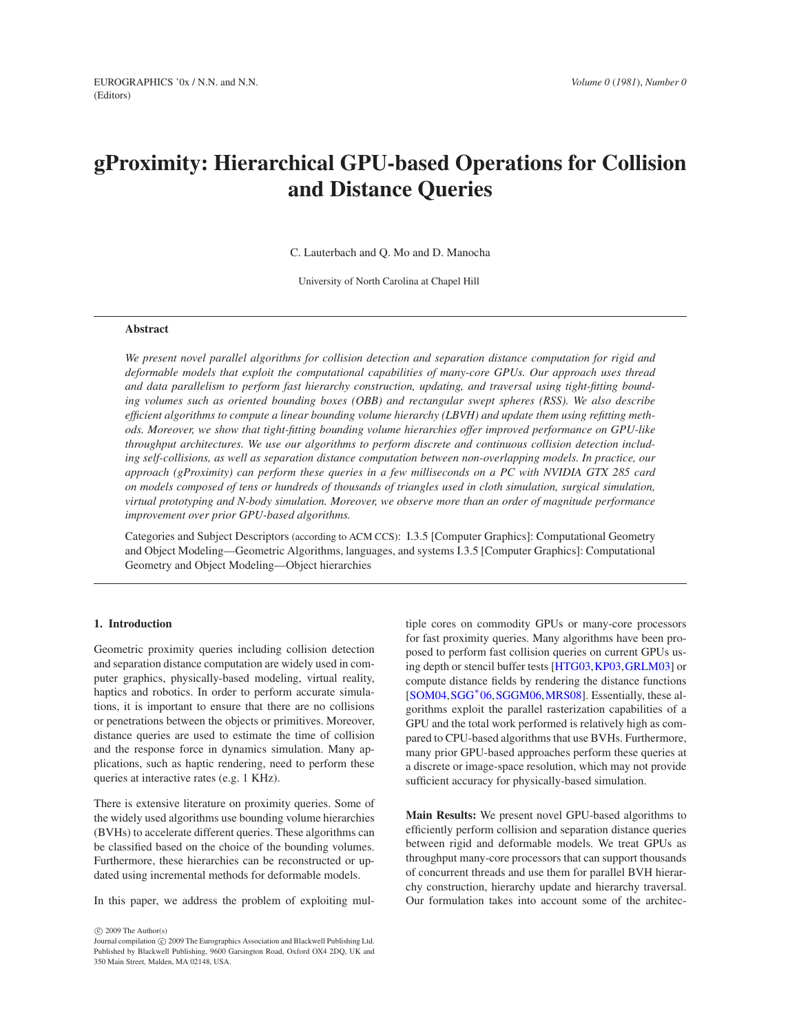# **gProximity: Hierarchical GPU-based Operations for Collision and Distance Queries**

C. Lauterbach and Q. Mo and D. Manocha

University of North Carolina at Chapel Hill

# **Abstract**

*We present novel parallel algorithms for collision detection and separation distance computation for rigid and deformable models that exploit the computational capabilities of many-core GPUs. Our approach uses thread and data parallelism to perform fast hierarchy construction, updating, and traversal using tight-fitting bounding volumes such as oriented bounding boxes (OBB) and rectangular swept spheres (RSS). We also describe efficient algorithms to compute a linear bounding volume hierarchy (LBVH) and update them using refitting methods. Moreover, we show that tight-fitting bounding volume hierarchies offer improved performance on GPU-like throughput architectures. We use our algorithms to perform discrete and continuous collision detection including self-collisions, as well as separation distance computation between non-overlapping models. In practice, our approach (gProximity) can perform these queries in a few milliseconds on a PC with NVIDIA GTX 285 card on models composed of tens or hundreds of thousands of triangles used in cloth simulation, surgical simulation, virtual prototyping and N-body simulation. Moreover, we observe more than an order of magnitude performance improvement over prior GPU-based algorithms.*

Categories and Subject Descriptors (according to ACM CCS): I.3.5 [Computer Graphics]: Computational Geometry and Object Modeling—Geometric Algorithms, languages, and systems I.3.5 [Computer Graphics]: Computational Geometry and Object Modeling—Object hierarchies

# **1. Introduction**

Geometric proximity queries including collision detection and separation distance computation are widely used in computer graphics, physically-based modeling, virtual reality, haptics and robotics. In order to perform accurate simulations, it is important to ensure that there are no collisions or penetrations between the objects or primitives. Moreover, distance queries are used to estimate the time of collision and the response force in dynamics simulation. Many applications, such as haptic rendering, need to perform these queries at interactive rates (e.g. 1 KHz).

There is extensive literature on proximity queries. Some of the widely used algorithms use bounding volume hierarchies (BVHs) to accelerate different queries. These algorithms can be classified based on the choice of the bounding volumes. Furthermore, these hierarchies can be reconstructed or updated using incremental methods for deformable models.

In this paper, we address the problem of exploiting mul-

 $\odot$  2009 The Author(s)

tiple cores on commodity GPUs or many-core processors for fast proximity queries. Many algorithms have been proposed to perform fast collision queries on current GPUs using depth or stencil buffer tests [\[HTG03,](#page-9-0)[KP03,](#page-9-1)[GRLM03\]](#page-9-2) or compute distance fields by rendering the distance functions [\[SOM04,](#page-9-3)[SGG](#page-9-4)<sup>∗</sup> 06[,SGGM06,](#page-9-5)[MRS08\]](#page-9-6). Essentially, these algorithms exploit the parallel rasterization capabilities of a GPU and the total work performed is relatively high as compared to CPU-based algorithms that use BVHs. Furthermore, many prior GPU-based approaches perform these queries at a discrete or image-space resolution, which may not provide sufficient accuracy for physically-based simulation.

**Main Results:** We present novel GPU-based algorithms to efficiently perform collision and separation distance queries between rigid and deformable models. We treat GPUs as throughput many-core processors that can support thousands of concurrent threads and use them for parallel BVH hierarchy construction, hierarchy update and hierarchy traversal. Our formulation takes into account some of the architec-

Journal compilation  $\circled{c}$  2009 The Eurographics Association and Blackwell Publishing Ltd. Published by Blackwell Publishing, 9600 Garsington Road, Oxford OX4 2DQ, UK and 350 Main Street, Malden, MA 02148, USA.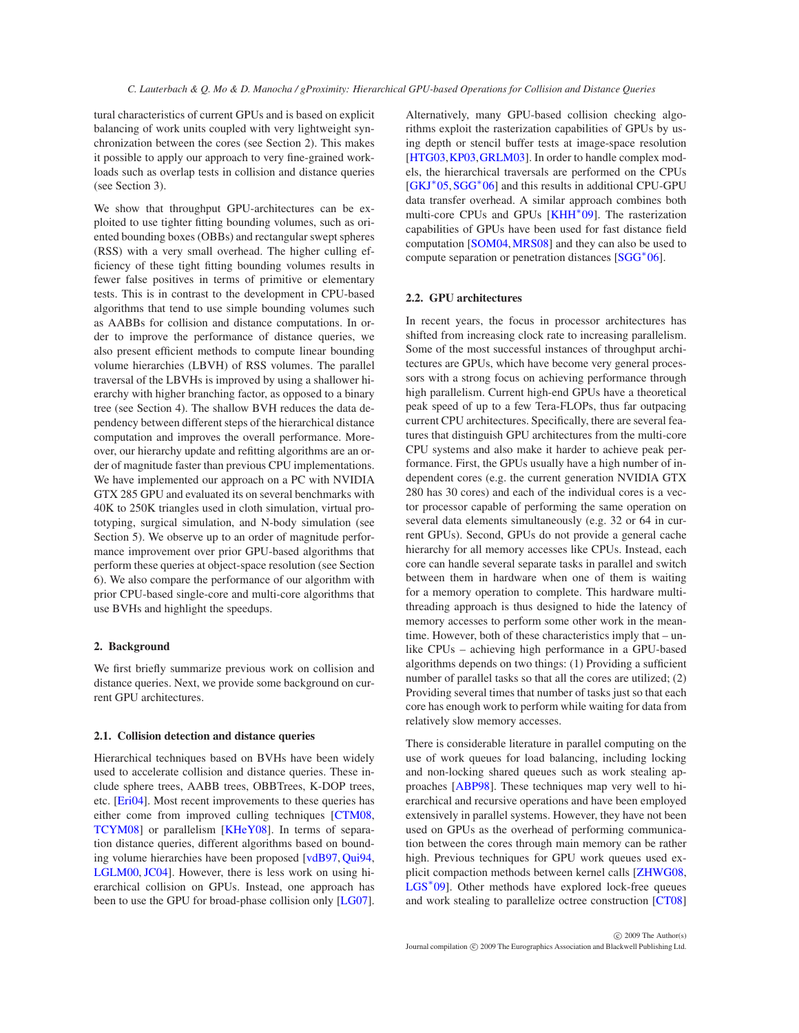tural characteristics of current GPUs and is based on explicit balancing of work units coupled with very lightweight synchronization between the cores (see Section 2). This makes it possible to apply our approach to very fine-grained workloads such as overlap tests in collision and distance queries (see Section 3).

We show that throughput GPU-architectures can be exploited to use tighter fitting bounding volumes, such as oriented bounding boxes (OBBs) and rectangular swept spheres (RSS) with a very small overhead. The higher culling efficiency of these tight fitting bounding volumes results in fewer false positives in terms of primitive or elementary tests. This is in contrast to the development in CPU-based algorithms that tend to use simple bounding volumes such as AABBs for collision and distance computations. In order to improve the performance of distance queries, we also present efficient methods to compute linear bounding volume hierarchies (LBVH) of RSS volumes. The parallel traversal of the LBVHs is improved by using a shallower hierarchy with higher branching factor, as opposed to a binary tree (see Section 4). The shallow BVH reduces the data dependency between different steps of the hierarchical distance computation and improves the overall performance. Moreover, our hierarchy update and refitting algorithms are an order of magnitude faster than previous CPU implementations. We have implemented our approach on a PC with NVIDIA GTX 285 GPU and evaluated its on several benchmarks with 40K to 250K triangles used in cloth simulation, virtual prototyping, surgical simulation, and N-body simulation (see Section 5). We observe up to an order of magnitude performance improvement over prior GPU-based algorithms that perform these queries at object-space resolution (see Section 6). We also compare the performance of our algorithm with prior CPU-based single-core and multi-core algorithms that use BVHs and highlight the speedups.

## **2. Background**

We first briefly summarize previous work on collision and distance queries. Next, we provide some background on current GPU architectures.

#### **2.1. Collision detection and distance queries**

Hierarchical techniques based on BVHs have been widely used to accelerate collision and distance queries. These include sphere trees, AABB trees, OBBTrees, K-DOP trees, etc. [\[Eri04\]](#page-9-7). Most recent improvements to these queries has either come from improved culling techniques [\[CTM08,](#page-9-8) [TCYM08\]](#page-9-9) or parallelism [\[KHeY08\]](#page-9-10). In terms of separation distance queries, different algorithms based on bounding volume hierarchies have been proposed [\[vdB97,](#page-9-11) [Qui94,](#page-9-12) [LGLM00,](#page-9-13) [JC04\]](#page-9-14). However, there is less work on using hierarchical collision on GPUs. Instead, one approach has been to use the GPU for broad-phase collision only [\[LG07\]](#page-9-15). Alternatively, many GPU-based collision checking algorithms exploit the rasterization capabilities of GPUs by using depth or stencil buffer tests at image-space resolution [\[HTG03](#page-9-0)[,KP03,](#page-9-1)[GRLM03\]](#page-9-2). In order to handle complex models, the hierarchical traversals are performed on the CPUs [\[GKJ](#page-9-16)<sup>∗</sup> 05,[SGG](#page-9-4)<sup>∗</sup> 06] and this results in additional CPU-GPU data transfer overhead. A similar approach combines both multi-core CPUs and GPUs [\[KHH](#page-9-17)<sup>∗</sup>09]. The rasterization capabilities of GPUs have been used for fast distance field computation [\[SOM04,](#page-9-3)[MRS08\]](#page-9-6) and they can also be used to compute separation or penetration distances [\[SGG](#page-9-4)<sup>∗</sup>06].

## **2.2. GPU architectures**

In recent years, the focus in processor architectures has shifted from increasing clock rate to increasing parallelism. Some of the most successful instances of throughput architectures are GPUs, which have become very general processors with a strong focus on achieving performance through high parallelism. Current high-end GPUs have a theoretical peak speed of up to a few Tera-FLOPs, thus far outpacing current CPU architectures. Specifically, there are several features that distinguish GPU architectures from the multi-core CPU systems and also make it harder to achieve peak performance. First, the GPUs usually have a high number of independent cores (e.g. the current generation NVIDIA GTX 280 has 30 cores) and each of the individual cores is a vector processor capable of performing the same operation on several data elements simultaneously (e.g. 32 or 64 in current GPUs). Second, GPUs do not provide a general cache hierarchy for all memory accesses like CPUs. Instead, each core can handle several separate tasks in parallel and switch between them in hardware when one of them is waiting for a memory operation to complete. This hardware multithreading approach is thus designed to hide the latency of memory accesses to perform some other work in the meantime. However, both of these characteristics imply that – unlike CPUs – achieving high performance in a GPU-based algorithms depends on two things: (1) Providing a sufficient number of parallel tasks so that all the cores are utilized; (2) Providing several times that number of tasks just so that each core has enough work to perform while waiting for data from relatively slow memory accesses.

There is considerable literature in parallel computing on the use of work queues for load balancing, including locking and non-locking shared queues such as work stealing approaches [\[ABP98\]](#page-9-18). These techniques map very well to hierarchical and recursive operations and have been employed extensively in parallel systems. However, they have not been used on GPUs as the overhead of performing communication between the cores through main memory can be rather high. Previous techniques for GPU work queues used explicit compaction methods between kernel calls [\[ZHWG08,](#page-9-19) [LGS](#page-9-20)<sup>∗</sup> 09]. Other methods have explored lock-free queues and work stealing to parallelize octree construction [\[CT08\]](#page-9-21)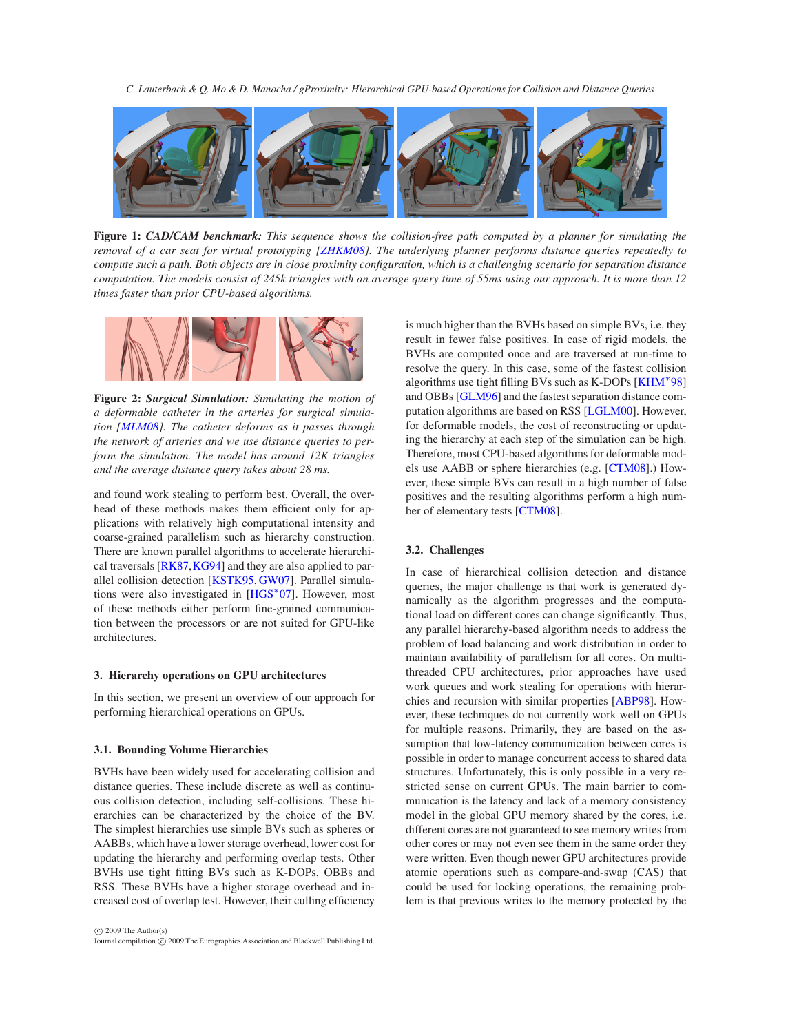

**Figure 1:** *CAD/CAM benchmark: This sequence shows the collision-free path computed by a planner for simulating the removal of a car seat for virtual prototyping [\[ZHKM08\]](#page-9-22). The underlying planner performs distance queries repeatedly to compute such a path. Both objects are in close proximity configuration, which is a challenging scenario for separation distance computation. The models consist of 245k triangles with an average query time of 55ms using our approach. It is more than 12 times faster than prior CPU-based algorithms.*

<span id="page-2-0"></span>

<span id="page-2-1"></span>**Figure 2:** *Surgical Simulation: Simulating the motion of a deformable catheter in the arteries for surgical simulation [\[MLM08\]](#page-9-23). The catheter deforms as it passes through the network of arteries and we use distance queries to perform the simulation. The model has around 12K triangles and the average distance query takes about 28 ms.*

and found work stealing to perform best. Overall, the overhead of these methods makes them efficient only for applications with relatively high computational intensity and coarse-grained parallelism such as hierarchy construction. There are known parallel algorithms to accelerate hierarchical traversals [\[RK87,](#page-9-24)[KG94\]](#page-9-25) and they are also applied to parallel collision detection [\[KSTK95,](#page-9-26) [GW07\]](#page-9-27). Parallel simula-tions were also investigated in [\[HGS](#page-9-28)<sup>∗</sup>07]. However, most of these methods either perform fine-grained communication between the processors or are not suited for GPU-like architectures.

### **3. Hierarchy operations on GPU architectures**

In this section, we present an overview of our approach for performing hierarchical operations on GPUs.

## **3.1. Bounding Volume Hierarchies**

BVHs have been widely used for accelerating collision and distance queries. These include discrete as well as continuous collision detection, including self-collisions. These hierarchies can be characterized by the choice of the BV. The simplest hierarchies use simple BVs such as spheres or AABBs, which have a lower storage overhead, lower cost for updating the hierarchy and performing overlap tests. Other BVHs use tight fitting BVs such as K-DOPs, OBBs and RSS. These BVHs have a higher storage overhead and increased cost of overlap test. However, their culling efficiency

 $\odot$  2009 The Author(s) Journal compilation  $\circled{c}$  2009 The Eurographics Association and Blackwell Publishing Ltd. is much higher than the BVHs based on simple BVs, i.e. they result in fewer false positives. In case of rigid models, the BVHs are computed once and are traversed at run-time to resolve the query. In this case, some of the fastest collision algorithms use tight filling BVs such as K-DOPs [\[KHM](#page-9-29)<sup>∗</sup> 98] and OBBs [\[GLM96\]](#page-9-30) and the fastest separation distance computation algorithms are based on RSS [\[LGLM00\]](#page-9-13). However, for deformable models, the cost of reconstructing or updating the hierarchy at each step of the simulation can be high. Therefore, most CPU-based algorithms for deformable models use AABB or sphere hierarchies (e.g. [\[CTM08\]](#page-9-8).) However, these simple BVs can result in a high number of false positives and the resulting algorithms perform a high number of elementary tests [\[CTM08\]](#page-9-8).

## **3.2. Challenges**

In case of hierarchical collision detection and distance queries, the major challenge is that work is generated dynamically as the algorithm progresses and the computational load on different cores can change significantly. Thus, any parallel hierarchy-based algorithm needs to address the problem of load balancing and work distribution in order to maintain availability of parallelism for all cores. On multithreaded CPU architectures, prior approaches have used work queues and work stealing for operations with hierarchies and recursion with similar properties [\[ABP98\]](#page-9-18). However, these techniques do not currently work well on GPUs for multiple reasons. Primarily, they are based on the assumption that low-latency communication between cores is possible in order to manage concurrent access to shared data structures. Unfortunately, this is only possible in a very restricted sense on current GPUs. The main barrier to communication is the latency and lack of a memory consistency model in the global GPU memory shared by the cores, i.e. different cores are not guaranteed to see memory writes from other cores or may not even see them in the same order they were written. Even though newer GPU architectures provide atomic operations such as compare-and-swap (CAS) that could be used for locking operations, the remaining problem is that previous writes to the memory protected by the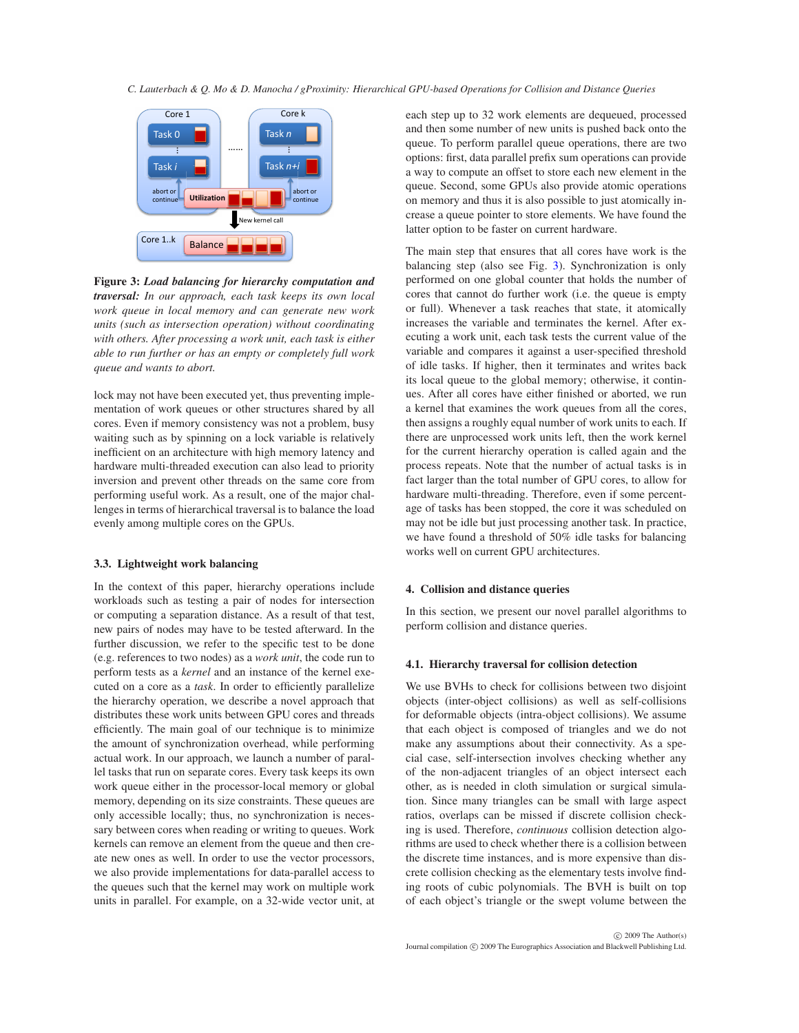*C. Lauterbach & Q. Mo & D. Manocha / gProximity: Hierarchical GPU-based Operations for Collision and Distance Queries*



<span id="page-3-0"></span>**Figure 3:** *Load balancing for hierarchy computation and traversal: In our approach, each task keeps its own local work queue in local memory and can generate new work units (such as intersection operation) without coordinating with others. After processing a work unit, each task is either able to run further or has an empty or completely full work queue and wants to abort.*

lock may not have been executed yet, thus preventing implementation of work queues or other structures shared by all cores. Even if memory consistency was not a problem, busy waiting such as by spinning on a lock variable is relatively inefficient on an architecture with high memory latency and hardware multi-threaded execution can also lead to priority inversion and prevent other threads on the same core from performing useful work. As a result, one of the major challenges in terms of hierarchical traversal is to balance the load evenly among multiple cores on the GPUs.

#### **3.3. Lightweight work balancing**

In the context of this paper, hierarchy operations include workloads such as testing a pair of nodes for intersection or computing a separation distance. As a result of that test, new pairs of nodes may have to be tested afterward. In the further discussion, we refer to the specific test to be done (e.g. references to two nodes) as a *work unit*, the code run to perform tests as a *kernel* and an instance of the kernel executed on a core as a *task*. In order to efficiently parallelize the hierarchy operation, we describe a novel approach that distributes these work units between GPU cores and threads efficiently. The main goal of our technique is to minimize the amount of synchronization overhead, while performing actual work. In our approach, we launch a number of parallel tasks that run on separate cores. Every task keeps its own work queue either in the processor-local memory or global memory, depending on its size constraints. These queues are only accessible locally; thus, no synchronization is necessary between cores when reading or writing to queues. Work kernels can remove an element from the queue and then create new ones as well. In order to use the vector processors, we also provide implementations for data-parallel access to the queues such that the kernel may work on multiple work units in parallel. For example, on a 32-wide vector unit, at each step up to 32 work elements are dequeued, processed and then some number of new units is pushed back onto the queue. To perform parallel queue operations, there are two options: first, data parallel prefix sum operations can provide a way to compute an offset to store each new element in the queue. Second, some GPUs also provide atomic operations on memory and thus it is also possible to just atomically increase a queue pointer to store elements. We have found the latter option to be faster on current hardware.

The main step that ensures that all cores have work is the balancing step (also see Fig. [3\)](#page-3-0). Synchronization is only performed on one global counter that holds the number of cores that cannot do further work (i.e. the queue is empty or full). Whenever a task reaches that state, it atomically increases the variable and terminates the kernel. After executing a work unit, each task tests the current value of the variable and compares it against a user-specified threshold of idle tasks. If higher, then it terminates and writes back its local queue to the global memory; otherwise, it continues. After all cores have either finished or aborted, we run a kernel that examines the work queues from all the cores, then assigns a roughly equal number of work units to each. If there are unprocessed work units left, then the work kernel for the current hierarchy operation is called again and the process repeats. Note that the number of actual tasks is in fact larger than the total number of GPU cores, to allow for hardware multi-threading. Therefore, even if some percentage of tasks has been stopped, the core it was scheduled on may not be idle but just processing another task. In practice, we have found a threshold of 50% idle tasks for balancing works well on current GPU architectures.

## **4. Collision and distance queries**

In this section, we present our novel parallel algorithms to perform collision and distance queries.

## **4.1. Hierarchy traversal for collision detection**

We use BVHs to check for collisions between two disjoint objects (inter-object collisions) as well as self-collisions for deformable objects (intra-object collisions). We assume that each object is composed of triangles and we do not make any assumptions about their connectivity. As a special case, self-intersection involves checking whether any of the non-adjacent triangles of an object intersect each other, as is needed in cloth simulation or surgical simulation. Since many triangles can be small with large aspect ratios, overlaps can be missed if discrete collision checking is used. Therefore, *continuous* collision detection algorithms are used to check whether there is a collision between the discrete time instances, and is more expensive than discrete collision checking as the elementary tests involve finding roots of cubic polynomials. The BVH is built on top of each object's triangle or the swept volume between the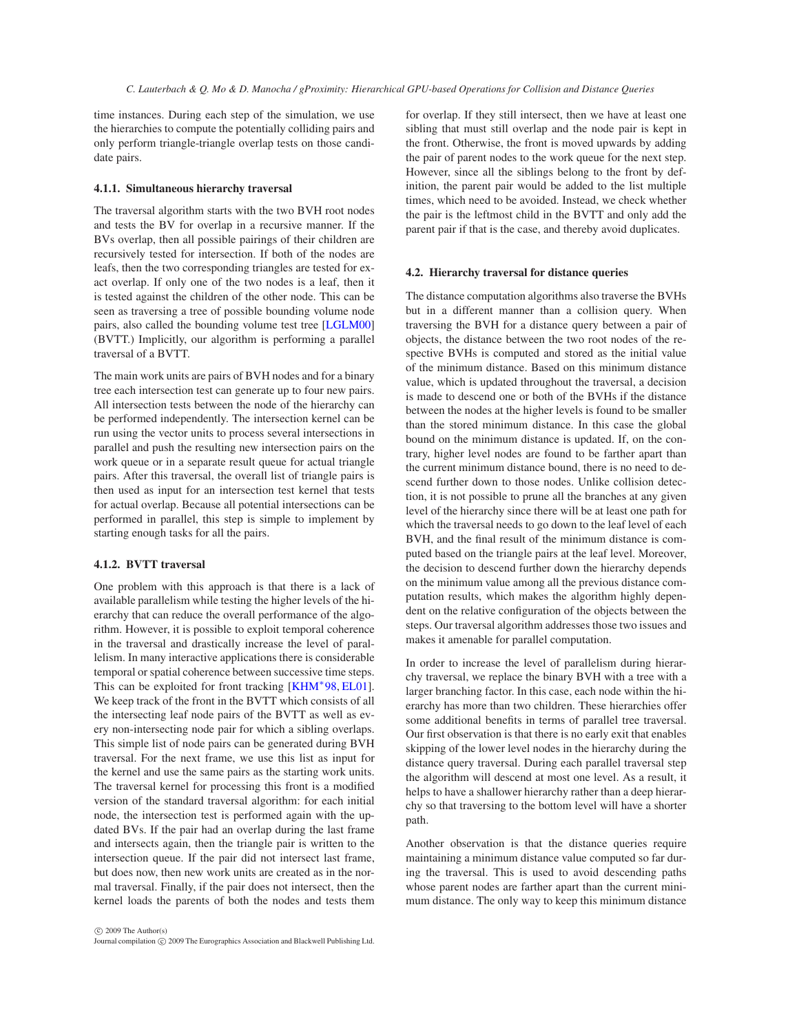time instances. During each step of the simulation, we use the hierarchies to compute the potentially colliding pairs and only perform triangle-triangle overlap tests on those candidate pairs.

## **4.1.1. Simultaneous hierarchy traversal**

The traversal algorithm starts with the two BVH root nodes and tests the BV for overlap in a recursive manner. If the BVs overlap, then all possible pairings of their children are recursively tested for intersection. If both of the nodes are leafs, then the two corresponding triangles are tested for exact overlap. If only one of the two nodes is a leaf, then it is tested against the children of the other node. This can be seen as traversing a tree of possible bounding volume node pairs, also called the bounding volume test tree [\[LGLM00\]](#page-9-13) (BVTT.) Implicitly, our algorithm is performing a parallel traversal of a BVTT.

The main work units are pairs of BVH nodes and for a binary tree each intersection test can generate up to four new pairs. All intersection tests between the node of the hierarchy can be performed independently. The intersection kernel can be run using the vector units to process several intersections in parallel and push the resulting new intersection pairs on the work queue or in a separate result queue for actual triangle pairs. After this traversal, the overall list of triangle pairs is then used as input for an intersection test kernel that tests for actual overlap. Because all potential intersections can be performed in parallel, this step is simple to implement by starting enough tasks for all the pairs.

# **4.1.2. BVTT traversal**

One problem with this approach is that there is a lack of available parallelism while testing the higher levels of the hierarchy that can reduce the overall performance of the algorithm. However, it is possible to exploit temporal coherence in the traversal and drastically increase the level of parallelism. In many interactive applications there is considerable temporal or spatial coherence between successive time steps. This can be exploited for front tracking [\[KHM](#page-9-29)<sup>\*</sup>98, [EL01\]](#page-9-31). We keep track of the front in the BVTT which consists of all the intersecting leaf node pairs of the BVTT as well as every non-intersecting node pair for which a sibling overlaps. This simple list of node pairs can be generated during BVH traversal. For the next frame, we use this list as input for the kernel and use the same pairs as the starting work units. The traversal kernel for processing this front is a modified version of the standard traversal algorithm: for each initial node, the intersection test is performed again with the updated BVs. If the pair had an overlap during the last frame and intersects again, then the triangle pair is written to the intersection queue. If the pair did not intersect last frame, but does now, then new work units are created as in the normal traversal. Finally, if the pair does not intersect, then the kernel loads the parents of both the nodes and tests them

 $\odot$  2009 The Author(s) Journal compilation  $\circled{c}$  2009 The Eurographics Association and Blackwell Publishing Ltd. for overlap. If they still intersect, then we have at least one sibling that must still overlap and the node pair is kept in the front. Otherwise, the front is moved upwards by adding the pair of parent nodes to the work queue for the next step. However, since all the siblings belong to the front by definition, the parent pair would be added to the list multiple times, which need to be avoided. Instead, we check whether the pair is the leftmost child in the BVTT and only add the parent pair if that is the case, and thereby avoid duplicates.

# **4.2. Hierarchy traversal for distance queries**

The distance computation algorithms also traverse the BVHs but in a different manner than a collision query. When traversing the BVH for a distance query between a pair of objects, the distance between the two root nodes of the respective BVHs is computed and stored as the initial value of the minimum distance. Based on this minimum distance value, which is updated throughout the traversal, a decision is made to descend one or both of the BVHs if the distance between the nodes at the higher levels is found to be smaller than the stored minimum distance. In this case the global bound on the minimum distance is updated. If, on the contrary, higher level nodes are found to be farther apart than the current minimum distance bound, there is no need to descend further down to those nodes. Unlike collision detection, it is not possible to prune all the branches at any given level of the hierarchy since there will be at least one path for which the traversal needs to go down to the leaf level of each BVH, and the final result of the minimum distance is computed based on the triangle pairs at the leaf level. Moreover, the decision to descend further down the hierarchy depends on the minimum value among all the previous distance computation results, which makes the algorithm highly dependent on the relative configuration of the objects between the steps. Our traversal algorithm addresses those two issues and makes it amenable for parallel computation.

In order to increase the level of parallelism during hierarchy traversal, we replace the binary BVH with a tree with a larger branching factor. In this case, each node within the hierarchy has more than two children. These hierarchies offer some additional benefits in terms of parallel tree traversal. Our first observation is that there is no early exit that enables skipping of the lower level nodes in the hierarchy during the distance query traversal. During each parallel traversal step the algorithm will descend at most one level. As a result, it helps to have a shallower hierarchy rather than a deep hierarchy so that traversing to the bottom level will have a shorter path.

Another observation is that the distance queries require maintaining a minimum distance value computed so far during the traversal. This is used to avoid descending paths whose parent nodes are farther apart than the current minimum distance. The only way to keep this minimum distance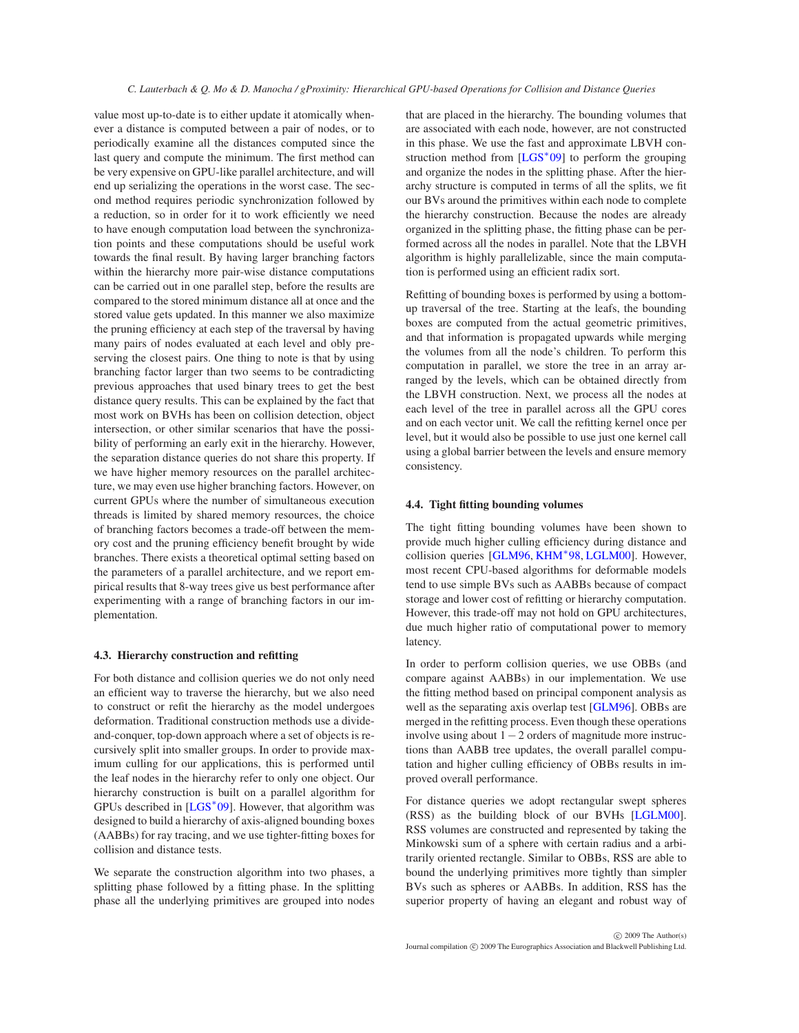value most up-to-date is to either update it atomically whenever a distance is computed between a pair of nodes, or to periodically examine all the distances computed since the last query and compute the minimum. The first method can be very expensive on GPU-like parallel architecture, and will end up serializing the operations in the worst case. The second method requires periodic synchronization followed by a reduction, so in order for it to work efficiently we need to have enough computation load between the synchronization points and these computations should be useful work towards the final result. By having larger branching factors within the hierarchy more pair-wise distance computations can be carried out in one parallel step, before the results are compared to the stored minimum distance all at once and the stored value gets updated. In this manner we also maximize the pruning efficiency at each step of the traversal by having many pairs of nodes evaluated at each level and obly preserving the closest pairs. One thing to note is that by using branching factor larger than two seems to be contradicting previous approaches that used binary trees to get the best distance query results. This can be explained by the fact that most work on BVHs has been on collision detection, object intersection, or other similar scenarios that have the possibility of performing an early exit in the hierarchy. However, the separation distance queries do not share this property. If we have higher memory resources on the parallel architecture, we may even use higher branching factors. However, on current GPUs where the number of simultaneous execution threads is limited by shared memory resources, the choice of branching factors becomes a trade-off between the memory cost and the pruning efficiency benefit brought by wide branches. There exists a theoretical optimal setting based on the parameters of a parallel architecture, and we report empirical results that 8-way trees give us best performance after experimenting with a range of branching factors in our implementation.

## **4.3. Hierarchy construction and refitting**

For both distance and collision queries we do not only need an efficient way to traverse the hierarchy, but we also need to construct or refit the hierarchy as the model undergoes deformation. Traditional construction methods use a divideand-conquer, top-down approach where a set of objects is recursively split into smaller groups. In order to provide maximum culling for our applications, this is performed until the leaf nodes in the hierarchy refer to only one object. Our hierarchy construction is built on a parallel algorithm for GPUs described in [\[LGS](#page-9-20)<sup>\*</sup>09]. However, that algorithm was designed to build a hierarchy of axis-aligned bounding boxes (AABBs) for ray tracing, and we use tighter-fitting boxes for collision and distance tests.

We separate the construction algorithm into two phases, a splitting phase followed by a fitting phase. In the splitting phase all the underlying primitives are grouped into nodes that are placed in the hierarchy. The bounding volumes that are associated with each node, however, are not constructed in this phase. We use the fast and approximate LBVH construction method from  $[LOGS^*09]$  to perform the grouping and organize the nodes in the splitting phase. After the hierarchy structure is computed in terms of all the splits, we fit our BVs around the primitives within each node to complete the hierarchy construction. Because the nodes are already organized in the splitting phase, the fitting phase can be performed across all the nodes in parallel. Note that the LBVH algorithm is highly parallelizable, since the main computation is performed using an efficient radix sort.

Refitting of bounding boxes is performed by using a bottomup traversal of the tree. Starting at the leafs, the bounding boxes are computed from the actual geometric primitives, and that information is propagated upwards while merging the volumes from all the node's children. To perform this computation in parallel, we store the tree in an array arranged by the levels, which can be obtained directly from the LBVH construction. Next, we process all the nodes at each level of the tree in parallel across all the GPU cores and on each vector unit. We call the refitting kernel once per level, but it would also be possible to use just one kernel call using a global barrier between the levels and ensure memory consistency.

## **4.4. Tight fitting bounding volumes**

The tight fitting bounding volumes have been shown to provide much higher culling efficiency during distance and collision queries [\[GLM96,](#page-9-30) [KHM](#page-9-29)<sup>∗</sup> 98, [LGLM00\]](#page-9-13). However, most recent CPU-based algorithms for deformable models tend to use simple BVs such as AABBs because of compact storage and lower cost of refitting or hierarchy computation. However, this trade-off may not hold on GPU architectures, due much higher ratio of computational power to memory latency.

In order to perform collision queries, we use OBBs (and compare against AABBs) in our implementation. We use the fitting method based on principal component analysis as well as the separating axis overlap test [\[GLM96\]](#page-9-30). OBBs are merged in the refitting process. Even though these operations involve using about 1−2 orders of magnitude more instructions than AABB tree updates, the overall parallel computation and higher culling efficiency of OBBs results in improved overall performance.

For distance queries we adopt rectangular swept spheres (RSS) as the building block of our BVHs [\[LGLM00\]](#page-9-13). RSS volumes are constructed and represented by taking the Minkowski sum of a sphere with certain radius and a arbitrarily oriented rectangle. Similar to OBBs, RSS are able to bound the underlying primitives more tightly than simpler BVs such as spheres or AABBs. In addition, RSS has the superior property of having an elegant and robust way of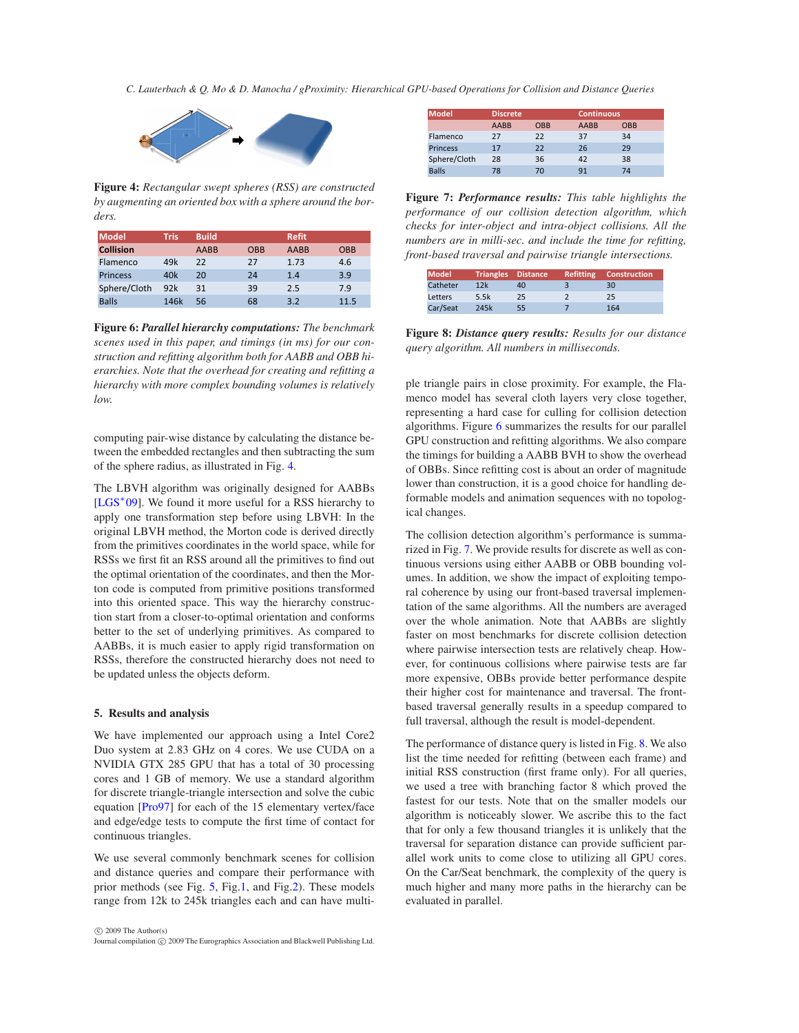*C. Lauterbach & Q. Mo & D. Manocha / gProximity: Hierarchical GPU-based Operations for Collision and Distance Queries*



<span id="page-6-0"></span>**Figure 4:** *Rectangular swept spheres (RSS) are constructed by augmenting an oriented box with a sphere around the borders.*

| <b>Model</b>     | Tris | <b>Build</b> |            | <b>Refit</b> |            |
|------------------|------|--------------|------------|--------------|------------|
| <b>Collision</b> |      | <b>AABB</b>  | <b>OBB</b> | <b>AABB</b>  | <b>OBB</b> |
| Flamenco         | 49k  | 22           | 27         | 1.73         | 4.6        |
| <b>Princess</b>  | 40k  | 20           | 24         | 1.4          | 3.9        |
| Sphere/Cloth     | 92k  | 31           | 39         | 2.5          | 7.9        |
| <b>Balls</b>     | 146k | 56           | 68         | 3.2          | 11.5       |

<span id="page-6-1"></span>**Figure 6:** *Parallel hierarchy computations: The benchmark scenes used in this paper, and timings (in ms) for our construction and refitting algorithm both for AABB and OBB hierarchies. Note that the overhead for creating and refitting a hierarchy with more complex bounding volumes is relatively low.*

computing pair-wise distance by calculating the distance between the embedded rectangles and then subtracting the sum of the sphere radius, as illustrated in Fig. [4.](#page-6-0)

The LBVH algorithm was originally designed for AABBs [\[LGS](#page-9-20)<sup>∗</sup> 09]. We found it more useful for a RSS hierarchy to apply one transformation step before using LBVH: In the original LBVH method, the Morton code is derived directly from the primitives coordinates in the world space, while for RSSs we first fit an RSS around all the primitives to find out the optimal orientation of the coordinates, and then the Morton code is computed from primitive positions transformed into this oriented space. This way the hierarchy construction start from a closer-to-optimal orientation and conforms better to the set of underlying primitives. As compared to AABBs, it is much easier to apply rigid transformation on RSSs, therefore the constructed hierarchy does not need to be updated unless the objects deform.

## **5. Results and analysis**

We have implemented our approach using a Intel Core2 Duo system at 2.83 GHz on 4 cores. We use CUDA on a NVIDIA GTX 285 GPU that has a total of 30 processing cores and 1 GB of memory. We use a standard algorithm for discrete triangle-triangle intersection and solve the cubic equation [\[Pro97\]](#page-9-32) for each of the 15 elementary vertex/face and edge/edge tests to compute the first time of contact for continuous triangles.

We use several commonly benchmark scenes for collision and distance queries and compare their performance with prior methods (see Fig. [5,](#page-7-0) Fig[.1,](#page-2-0) and Fig[.2\)](#page-2-1). These models range from 12k to 245k triangles each and can have multi-

 $\odot$  2009 The Author(s) Journal compilation  $\circled{c}$  2009 The Eurographics Association and Blackwell Publishing Ltd.

| <b>Model</b>    | <b>Discrete</b> |            |      | <b>Continuous</b> |  |  |
|-----------------|-----------------|------------|------|-------------------|--|--|
|                 | AABB            | <b>OBB</b> | AABB | <b>OBB</b>        |  |  |
| Flamenco        | 27              | 22         | 37   | 34                |  |  |
| <b>Princess</b> | 17              | 22         | 26   | 29                |  |  |
| Sphere/Cloth    | 28              | 36         | 42   | 38                |  |  |
| <b>Balls</b>    | 78              | 70         | 91   | 74                |  |  |

<span id="page-6-2"></span>**Figure 7:** *Performance results: This table highlights the performance of our collision detection algorithm, which checks for inter-object and intra-object collisions. All the numbers are in milli-sec. and include the time for refitting, front-based traversal and pairwise triangle intersections.*

| <b>Model</b> |      | Triangles Distance | <b>Refitting Construction</b> |
|--------------|------|--------------------|-------------------------------|
| Catheter     | 12k  | 40                 | 30                            |
| Letters      | 5.5k | 25                 | 25                            |
| Car/Seat     | 245k | 55                 | 164                           |

<span id="page-6-3"></span>**Figure 8:** *Distance query results: Results for our distance query algorithm. All numbers in milliseconds.*

ple triangle pairs in close proximity. For example, the Flamenco model has several cloth layers very close together, representing a hard case for culling for collision detection algorithms. Figure [6](#page-6-1) summarizes the results for our parallel GPU construction and refitting algorithms. We also compare the timings for building a AABB BVH to show the overhead of OBBs. Since refitting cost is about an order of magnitude lower than construction, it is a good choice for handling deformable models and animation sequences with no topological changes.

The collision detection algorithm's performance is summarized in Fig. [7.](#page-6-2) We provide results for discrete as well as continuous versions using either AABB or OBB bounding volumes. In addition, we show the impact of exploiting temporal coherence by using our front-based traversal implementation of the same algorithms. All the numbers are averaged over the whole animation. Note that AABBs are slightly faster on most benchmarks for discrete collision detection where pairwise intersection tests are relatively cheap. However, for continuous collisions where pairwise tests are far more expensive, OBBs provide better performance despite their higher cost for maintenance and traversal. The frontbased traversal generally results in a speedup compared to full traversal, although the result is model-dependent.

The performance of distance query is listed in Fig. [8.](#page-6-3) We also list the time needed for refitting (between each frame) and initial RSS construction (first frame only). For all queries, we used a tree with branching factor 8 which proved the fastest for our tests. Note that on the smaller models our algorithm is noticeably slower. We ascribe this to the fact that for only a few thousand triangles it is unlikely that the traversal for separation distance can provide sufficient parallel work units to come close to utilizing all GPU cores. On the Car/Seat benchmark, the complexity of the query is much higher and many more paths in the hierarchy can be evaluated in parallel.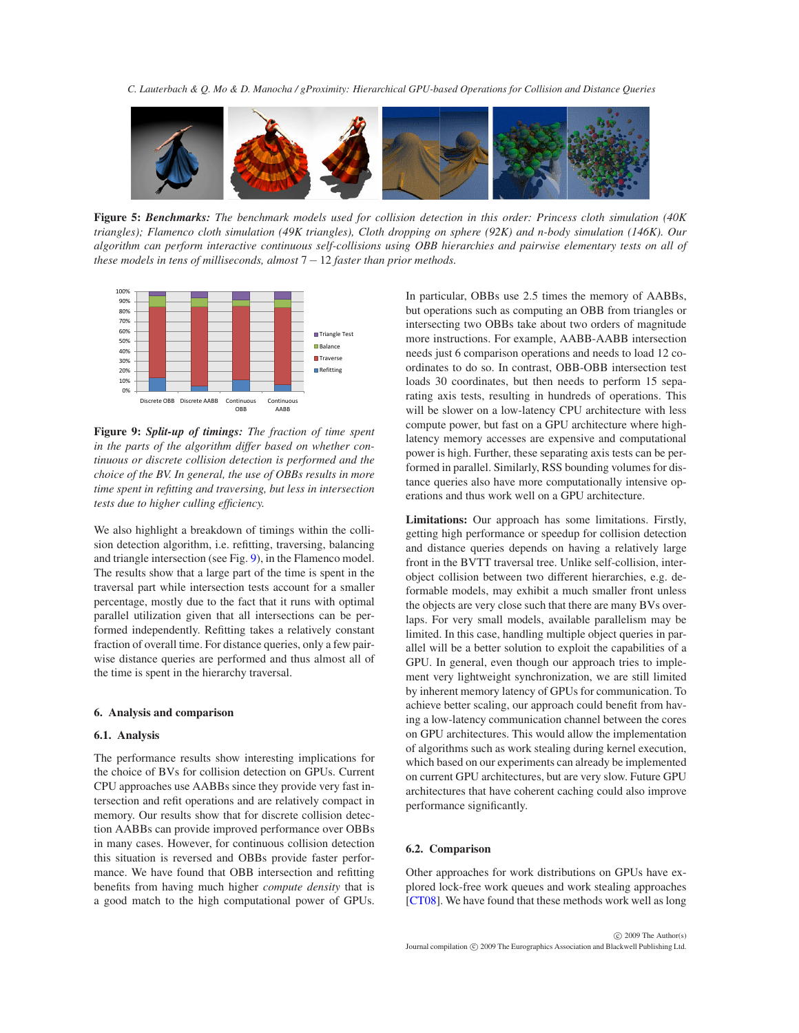

<span id="page-7-0"></span>**Figure 5:** *Benchmarks: The benchmark models used for collision detection in this order: Princess cloth simulation (40K triangles); Flamenco cloth simulation (49K triangles), Cloth dropping on sphere (92K) and n-body simulation (146K). Our algorithm can perform interactive continuous self-collisions using OBB hierarchies and pairwise elementary tests on all of these models in tens of milliseconds, almost* 7−12 *faster than prior methods.*



<span id="page-7-1"></span>**Figure 9:** *Split-up of timings: The fraction of time spent in the parts of the algorithm differ based on whether continuous or discrete collision detection is performed and the choice of the BV. In general, the use of OBBs results in more time spent in refitting and traversing, but less in intersection tests due to higher culling efficiency.*

We also highlight a breakdown of timings within the collision detection algorithm, i.e. refitting, traversing, balancing and triangle intersection (see Fig. [9\)](#page-7-1), in the Flamenco model. The results show that a large part of the time is spent in the traversal part while intersection tests account for a smaller percentage, mostly due to the fact that it runs with optimal parallel utilization given that all intersections can be performed independently. Refitting takes a relatively constant fraction of overall time. For distance queries, only a few pairwise distance queries are performed and thus almost all of the time is spent in the hierarchy traversal.

# **6. Analysis and comparison**

## **6.1. Analysis**

The performance results show interesting implications for the choice of BVs for collision detection on GPUs. Current CPU approaches use AABBs since they provide very fast intersection and refit operations and are relatively compact in memory. Our results show that for discrete collision detection AABBs can provide improved performance over OBBs in many cases. However, for continuous collision detection this situation is reversed and OBBs provide faster performance. We have found that OBB intersection and refitting benefits from having much higher *compute density* that is a good match to the high computational power of GPUs.

In particular, OBBs use 2.5 times the memory of AABBs, but operations such as computing an OBB from triangles or intersecting two OBBs take about two orders of magnitude more instructions. For example, AABB-AABB intersection needs just 6 comparison operations and needs to load 12 coordinates to do so. In contrast, OBB-OBB intersection test loads 30 coordinates, but then needs to perform 15 separating axis tests, resulting in hundreds of operations. This will be slower on a low-latency CPU architecture with less compute power, but fast on a GPU architecture where highlatency memory accesses are expensive and computational power is high. Further, these separating axis tests can be performed in parallel. Similarly, RSS bounding volumes for distance queries also have more computationally intensive operations and thus work well on a GPU architecture.

**Limitations:** Our approach has some limitations. Firstly, getting high performance or speedup for collision detection and distance queries depends on having a relatively large front in the BVTT traversal tree. Unlike self-collision, interobject collision between two different hierarchies, e.g. deformable models, may exhibit a much smaller front unless the objects are very close such that there are many BVs overlaps. For very small models, available parallelism may be limited. In this case, handling multiple object queries in parallel will be a better solution to exploit the capabilities of a GPU. In general, even though our approach tries to implement very lightweight synchronization, we are still limited by inherent memory latency of GPUs for communication. To achieve better scaling, our approach could benefit from having a low-latency communication channel between the cores on GPU architectures. This would allow the implementation of algorithms such as work stealing during kernel execution, which based on our experiments can already be implemented on current GPU architectures, but are very slow. Future GPU architectures that have coherent caching could also improve performance significantly.

### **6.2. Comparison**

Other approaches for work distributions on GPUs have explored lock-free work queues and work stealing approaches [\[CT08\]](#page-9-21). We have found that these methods work well as long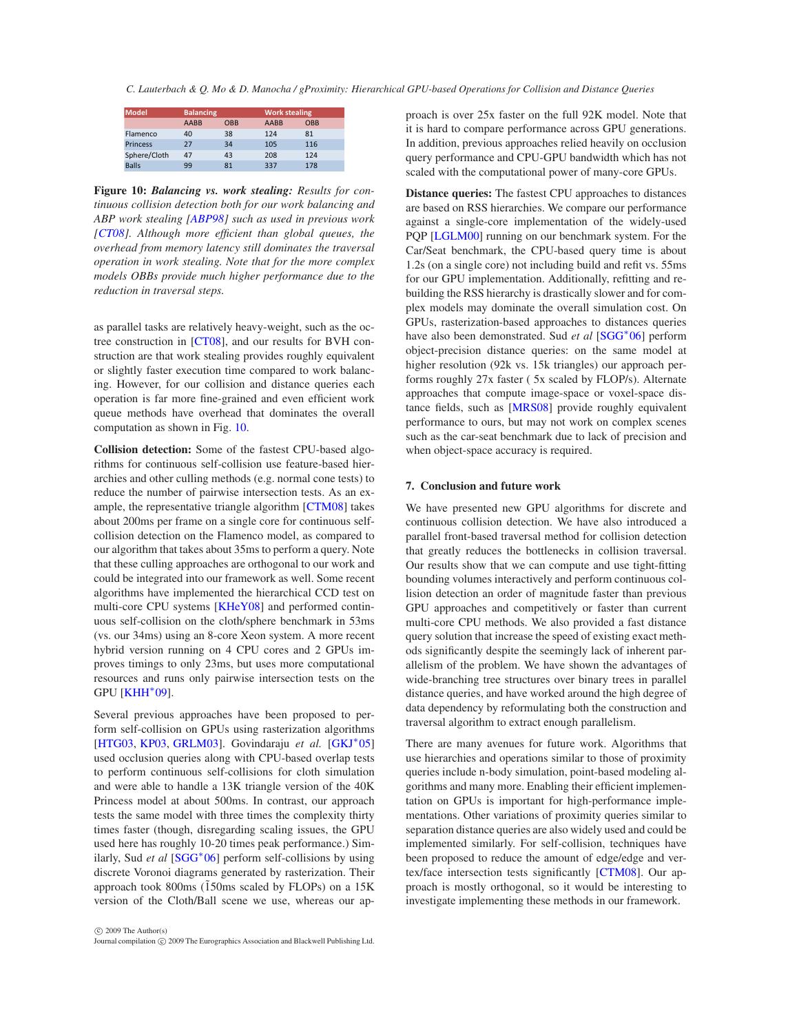*C. Lauterbach & Q. Mo & D. Manocha / gProximity: Hierarchical GPU-based Operations for Collision and Distance Queries*

| <b>Model</b>    | <b>Balancing</b> |     |      | <b>Work stealing</b> |  |  |
|-----------------|------------------|-----|------|----------------------|--|--|
|                 | AABB             | OBB | AABB | OBB                  |  |  |
| Flamenco        | 40               | 38  | 124  | 81                   |  |  |
| <b>Princess</b> | 27               | 34  | 105  | 116                  |  |  |
| Sphere/Cloth    | 47               | 43  | 208  | 124                  |  |  |
| <b>Balls</b>    | 99               | 81  | 337  | 178                  |  |  |

<span id="page-8-0"></span>**Figure 10:** *Balancing vs. work stealing: Results for continuous collision detection both for our work balancing and ABP work stealing [\[ABP98\]](#page-9-18) such as used in previous work [\[CT08\]](#page-9-21). Although more efficient than global queues, the overhead from memory latency still dominates the traversal operation in work stealing. Note that for the more complex models OBBs provide much higher performance due to the reduction in traversal steps.*

as parallel tasks are relatively heavy-weight, such as the octree construction in [\[CT08\]](#page-9-21), and our results for BVH construction are that work stealing provides roughly equivalent or slightly faster execution time compared to work balancing. However, for our collision and distance queries each operation is far more fine-grained and even efficient work queue methods have overhead that dominates the overall computation as shown in Fig. [10.](#page-8-0)

**Collision detection:** Some of the fastest CPU-based algorithms for continuous self-collision use feature-based hierarchies and other culling methods (e.g. normal cone tests) to reduce the number of pairwise intersection tests. As an example, the representative triangle algorithm [\[CTM08\]](#page-9-8) takes about 200ms per frame on a single core for continuous selfcollision detection on the Flamenco model, as compared to our algorithm that takes about 35ms to perform a query. Note that these culling approaches are orthogonal to our work and could be integrated into our framework as well. Some recent algorithms have implemented the hierarchical CCD test on multi-core CPU systems [\[KHeY08\]](#page-9-10) and performed continuous self-collision on the cloth/sphere benchmark in 53ms (vs. our 34ms) using an 8-core Xeon system. A more recent hybrid version running on 4 CPU cores and 2 GPUs improves timings to only 23ms, but uses more computational resources and runs only pairwise intersection tests on the GPU [\[KHH](#page-9-17)<sup>\*</sup>09].

Several previous approaches have been proposed to perform self-collision on GPUs using rasterization algorithms [\[HTG03,](#page-9-0) [KP03,](#page-9-1) [GRLM03\]](#page-9-2). Govindaraju *et al.* [\[GKJ](#page-9-16)<sup>∗</sup> 05] used occlusion queries along with CPU-based overlap tests to perform continuous self-collisions for cloth simulation and were able to handle a 13K triangle version of the 40K Princess model at about 500ms. In contrast, our approach tests the same model with three times the complexity thirty times faster (though, disregarding scaling issues, the GPU used here has roughly 10-20 times peak performance.) Similarly, Sud *et al* [\[SGG](#page-9-4)<sup>∗</sup> 06] perform self-collisions by using discrete Voronoi diagrams generated by rasterization. Their approach took 800ms  $(150 \text{ms}$  scaled by FLOPs) on a 15K version of the Cloth/Ball scene we use, whereas our ap-

 $\odot$  2009 The Author(s) Journal compilation  $\circled{c}$  2009 The Eurographics Association and Blackwell Publishing Ltd. proach is over 25x faster on the full 92K model. Note that it is hard to compare performance across GPU generations. In addition, previous approaches relied heavily on occlusion query performance and CPU-GPU bandwidth which has not scaled with the computational power of many-core GPUs.

**Distance queries:** The fastest CPU approaches to distances are based on RSS hierarchies. We compare our performance against a single-core implementation of the widely-used PQP [\[LGLM00\]](#page-9-13) running on our benchmark system. For the Car/Seat benchmark, the CPU-based query time is about 1.2s (on a single core) not including build and refit vs. 55ms for our GPU implementation. Additionally, refitting and rebuilding the RSS hierarchy is drastically slower and for complex models may dominate the overall simulation cost. On GPUs, rasterization-based approaches to distances queries have also been demonstrated. Sud *et al* [\[SGG](#page-9-4)<sup>∗</sup> 06] perform object-precision distance queries: on the same model at higher resolution (92k vs. 15k triangles) our approach performs roughly 27x faster ( 5x scaled by FLOP/s). Alternate approaches that compute image-space or voxel-space distance fields, such as [\[MRS08\]](#page-9-6) provide roughly equivalent performance to ours, but may not work on complex scenes such as the car-seat benchmark due to lack of precision and when object-space accuracy is required.

# **7. Conclusion and future work**

We have presented new GPU algorithms for discrete and continuous collision detection. We have also introduced a parallel front-based traversal method for collision detection that greatly reduces the bottlenecks in collision traversal. Our results show that we can compute and use tight-fitting bounding volumes interactively and perform continuous collision detection an order of magnitude faster than previous GPU approaches and competitively or faster than current multi-core CPU methods. We also provided a fast distance query solution that increase the speed of existing exact methods significantly despite the seemingly lack of inherent parallelism of the problem. We have shown the advantages of wide-branching tree structures over binary trees in parallel distance queries, and have worked around the high degree of data dependency by reformulating both the construction and traversal algorithm to extract enough parallelism.

There are many avenues for future work. Algorithms that use hierarchies and operations similar to those of proximity queries include n-body simulation, point-based modeling algorithms and many more. Enabling their efficient implementation on GPUs is important for high-performance implementations. Other variations of proximity queries similar to separation distance queries are also widely used and could be implemented similarly. For self-collision, techniques have been proposed to reduce the amount of edge/edge and vertex/face intersection tests significantly [\[CTM08\]](#page-9-8). Our approach is mostly orthogonal, so it would be interesting to investigate implementing these methods in our framework.